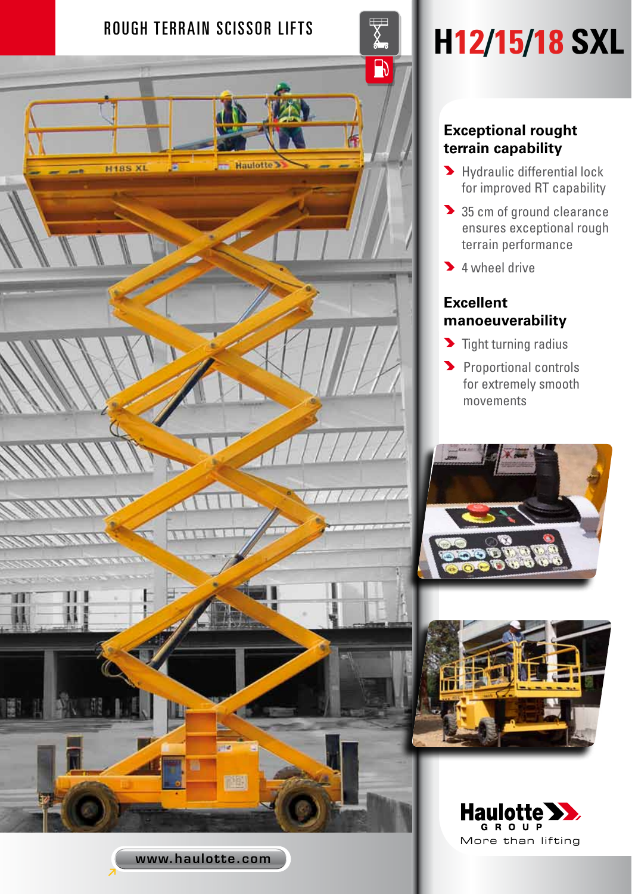

# **Exceptional rought terrain capability**

- **M** Hydraulic differential lock for improved RT capability
- 35 cm of ground clearance ensures exceptional rough terrain performance
- <sup>1</sup> 4 wheel drive

## **Excellent manoeuverability**

- $\blacktriangleright$  Tight turning radius
- **Proportional controls** for extremely smooth movements